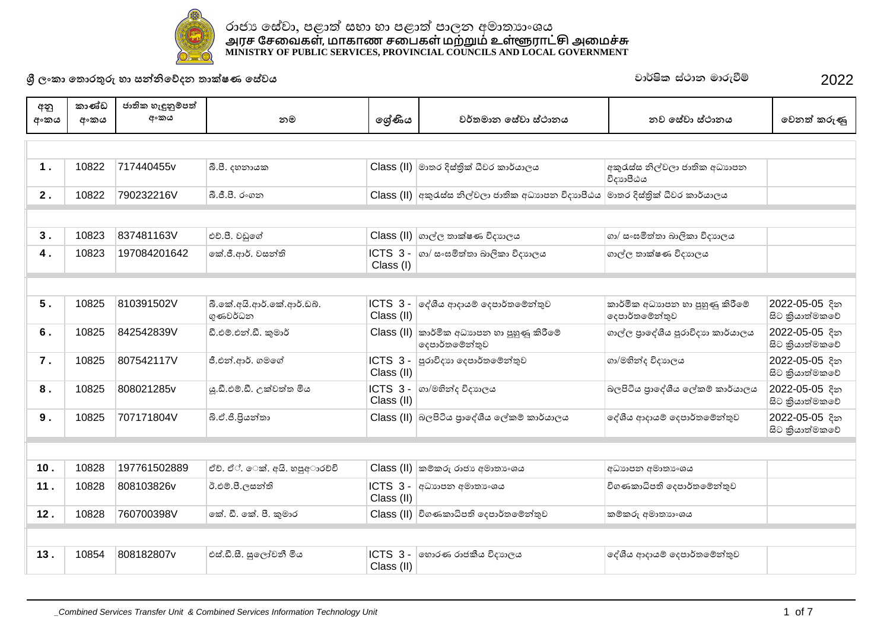

1 . | 10822 |717440455v |බී.පී. දහනායක | Class (II) මාතර දිස්තික් ධීවර කාර්යාලය | අකුරැස්ස නිල්වලා ජාතික අධාහපන විදාහපීඨය **2 . | 10822 |790232216V |බී.ජී.පී. රංගන | Class (II) අකුරැස්ස නිල්වලා ජාතික අධාහපන විදාහපීඨය මාතර දිස්තික් ධීවර කාර්යාලය 3 .** 10823 837481163V ʻļșˣƍ˳Ę Class (II) ˃˫ɢˢ˔˫ú˥˒ɪ˖ɕ˫ˢˠ ˃˫˦ʭ˄ȽƮ˔˫˜˫ɣˁ˫ɪ˖ɕ˫ˢˠ **4 . | 10823 |197084201642 |ුක් ජී ආර්** වසන්ති Class (I)  $\vert$ ICTS 3 -  $\vert$ ගා/ සංඝමිත්තා බාලිකා විදාහලය ගාල්ල තාක්ෂණ විදාහලය **5 .** 10825 810391502V බී.කේ.අයි.ආර්.කේ.ආර්.ඩබ්. ගණවර්ධන  $ICTS$  3 -  $\sigma$ ද්ශීය ආදායම් දෙපාර්තමේන්තුව Class (II) කාර්මික අධාහපන හා පුහුණු කිරීමේ ෙදෙපාර්තමේන්තුව 2022-05-05 දින සිට කියාත්මකවේ  $6.$   $\mid$   $10825$   $\mid$   $842542839V$   $\mid$   $\circ$ ී. එම්.එන්.ඩී. කුමාර්  $\mid$  Class (II) කාර්මික අධාහන හා පුහුණු කිරීමේ ැපාර්තමේන්තුව ගාල්ල පාදේශීය පුරාවිදාහ කාර්යාලය | 2022-05-05 දින ්සිට කියාත්මකවේ **7 .** 10825 807542117V පී.එන්.ආර්. ගමගේ Class (II) Țˡ˫ɪ˖ɕ˫˳˖˚˫ə˔˳ȼǦƱˣ ˃˫˞ʏǦ˖ɪ˖ɕ˫ˢˠ 2022-05-05ǎ˘ සිට කියාත්මකවේ **8 .** | 10825 | 808021285v | ය.ඩී.එම්.ඩී. උක්වත්ත මිය | CONS 3 - | ගා/මහින්ද විදුහලය Class (II)  $\,$ බලපිටිය පාළේශීය ලේකම් කාර්යාලය  $\,$   $\,$  2022-05-05  $\,$  දින සිට කියාත්මකවේ 9 . | 10825 |707171804V | ನಿ.ಲೆ.8.8ගන්තා | Class (II) බලපිටිය සාලේශීය ලේකම් කාර්යාලය | ලේශීය සාදාගම් ලෙසාර්තමේන්තව | 2022-05-05 දින සිට කියාත්මකවේ **10 .** 10828 197761502889 ේඒ. එක්. අයි. හපුඅාරච්චි Class (II) කම්කරු රාජා අමාතාංශය (අධාහපන අමාතාංශය 11 . | 10828 808103826v | ඊ.එම.පී.ලසන්ති | ICTS 3 - |අධායපන අමාතාංශය Class (II) විගණකාධිපති දෙපාර්තමේන්තුව **12 . | 10828 |760700398V |**කේ. ඩී. කේ. පී. කමාර **Class (II) |**විගණකාධිපති ecපාර්තමේන්තව කම්කරු අමාතාංශය **13 . | 10854 | 808182807v | අස්.ඩී.සී. සලෝචනී මිය | CTS 3 - | හොරණ රාජකීය විදාහලය** √ ේශීය ආදායම් දෙපාර්තමේන්තුව **ɼˢʭˁ˫˳˔ʣˡƱɞ˧˫˦Ǧǧ˳ɩ˖˘˔˫ú˥˒˳˦ʢˣˠ** jd¾Isl ia:dk udreùï 2022 අනු <u>අංකය</u> කාණ්ඩ **ʯʭˁˠ** ජාතික හැඳුනුම්පත් **ʯʭˁˠ ˘˞ ˳ɹʢƝˠ ˣə˔˞˫˘˳˦ʢˣ˫˦˪˕˫˘ˠ ˘ˣ˳˦ʢˣ˫˦˪˕˫˘ˠ ˳ˣ˘ƮˁɞƟ**

Class (II)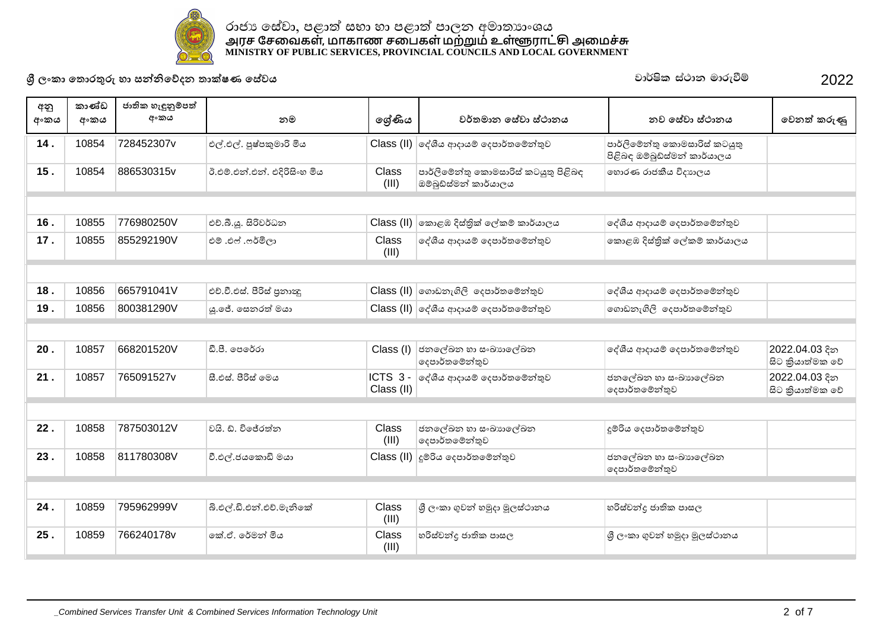

## රාජා සේවා, පළාත් සභා හා පළාත් පාලන අමාතාාංශය <u>அ</u>ரச சேவைகள், மாகாண சபைகள் மற்றும் உள்ளூராட்சு அமைச்சு **MINISTRY OF PUBLIC SERVICES, PROVINCIAL COUNCILS AND LOCAL GOVERNMENT**

**ɼˢʭˁ˫˳˔ʣˡƱɞ˧˫˦Ǧǧ˳ɩ˖˘˔˫ú˥˒˳˦ʢˣˠ** jd¾Isl ia:dk udreùï 2022

| අනු<br>අංකය | කාණ්ඩ<br>අංකය | ජාතික හැඳුනුම්පත්<br>අංකය | නම                           | ලශ්ණිය                | වර්තමාන සේවා ස්ථානය                                           | නව සේවා ස්ථානය                                                | වෙනත් කරුණු                       |  |  |  |  |  |
|-------------|---------------|---------------------------|------------------------------|-----------------------|---------------------------------------------------------------|---------------------------------------------------------------|-----------------------------------|--|--|--|--|--|
| 14.         | 10854         | 728452307v                | එල්.එල්. පුෂ්පකුමාරි මිය     |                       | Class (II) ලද්ශීය ආදායම් දෙපාර්තමේන්තුව                       | පාර්ලිමේන්තු කොමසාරිස් කටයුතු<br>පිළිබඳ ඔම්බුඩ්ස්මන් කාර්යාලය |                                   |  |  |  |  |  |
| 15.         | 10854         | 886530315v                | ඊ.එම්.එන්.එන්. එදිරිසිංහ මිය | Class<br>(III)        | පාර්ලිමේන්තු කොමසාරිස් කටයුතු පිළිබඳ<br>ඔම්බුඩ්ස්මන් කාර්යාලය | හොරණ රාජකීය විදාහලය                                           |                                   |  |  |  |  |  |
|             |               |                           |                              |                       |                                                               |                                                               |                                   |  |  |  |  |  |
| 16.         | 10855         | 776980250V                | එච්.බී.ශූ. සිරිවර්ධන         | Class $(II)$          | කොළඹ දිස්තික් ලේකම් කාර්යාලය                                  | දේශීය ආදායම් දෙපාර්තමේන්තුව                                   |                                   |  |  |  |  |  |
| 17.         | 10855         | 855292190V                | එම් .එෆ් .ෆර්මිලා            | Class<br>(III)        | දේශීය ආදායම් දෙපාර්තමේන්තුව                                   | කොළඹ දිස්තික් ලේකම් කාර්යාලය                                  |                                   |  |  |  |  |  |
|             |               |                           |                              |                       |                                                               |                                                               |                                   |  |  |  |  |  |
| 18.         | 10856         | 665791041V                | එච්.වී.එස්. පීරිස් පුනාඥ     |                       | $Class$ (II) ගොඩනැගිලි දෙපාර්තමේන්තුව                         | දේශීය ආදායම් දෙපාර්තමේන්තුව                                   |                                   |  |  |  |  |  |
| 19.         | 10856         | 800381290V                | යු.ජේ. සෙනරත් මයා            |                       | Class (II) ලද්ශීය ආදායම් දෙපාර්තමේන්තුව                       | ගොඩනැගිලි දෙපාර්තමේන්තුව                                      |                                   |  |  |  |  |  |
|             |               |                           |                              |                       |                                                               |                                                               |                                   |  |  |  |  |  |
| 20.         | 10857         | 668201520V                | ඩී.පී. පෙරේරා                | Class (I)             | ජනලේඛන හා සංඛාහලේඛන<br>දෙපාර්තමේන්තුව                         | දේශීය ආදායම් දෙපාර්තමේන්තුව                                   | 2022.04.03 දින<br>සිට කියාත්මක වේ |  |  |  |  |  |
| 21.         | 10857         | 765091527v                | සී.එස්. පීරිස් මෙය           | ICTS 3-<br>Class (II) | දේශීය ආදායම් දෙපාර්තමේන්තුව                                   | ජනලේඛන හා සංඛාහලේඛන<br>දෙපාර්තමේන්තුව                         | 2022.04.03 දින<br>සිට කියාත්මක වේ |  |  |  |  |  |
|             |               |                           |                              |                       |                                                               |                                                               |                                   |  |  |  |  |  |
| 22.         | 10858         | 787503012V                | වයි. ඩී. විජේරත්ත            | Class<br>(III)        | ජනලේඛන හා සංඛාහලේඛන<br>දෙපාර්තමේන්තුව                         | දූම්රිය දෙපාර්තමේන්තුව                                        |                                   |  |  |  |  |  |
| 23.         | 10858         | 811780308V                | වී.එල්.ජයකොඩි මයා            |                       | Class (II) දූම්රිය දෙපාර්තමේන්තුව                             | ජනලේඛන හා සංඛාහලේඛන<br>දෙපාර්තමේන්තුව                         |                                   |  |  |  |  |  |
|             |               |                           |                              |                       |                                                               |                                                               |                                   |  |  |  |  |  |
| 24.         | 10859         | 795962999V                | බි.එල්.ඩි.එන්.එච්.මැනිකේ     | Class<br>(III)        | ශී ලංකා ගුවන් හමුදා මූලස්ථානය                                 | හරිස්වන්දු ජාතික පාසල                                         |                                   |  |  |  |  |  |
| 25.         | 10859         | 766240178v                | කේ.ඒ. රේමන් මිය              | Class<br>(III)        | හරිස්වන්දු ජාතික පාසල                                         | ශී ලංකා ගුවන් හමුදා මූලස්ථානය                                 |                                   |  |  |  |  |  |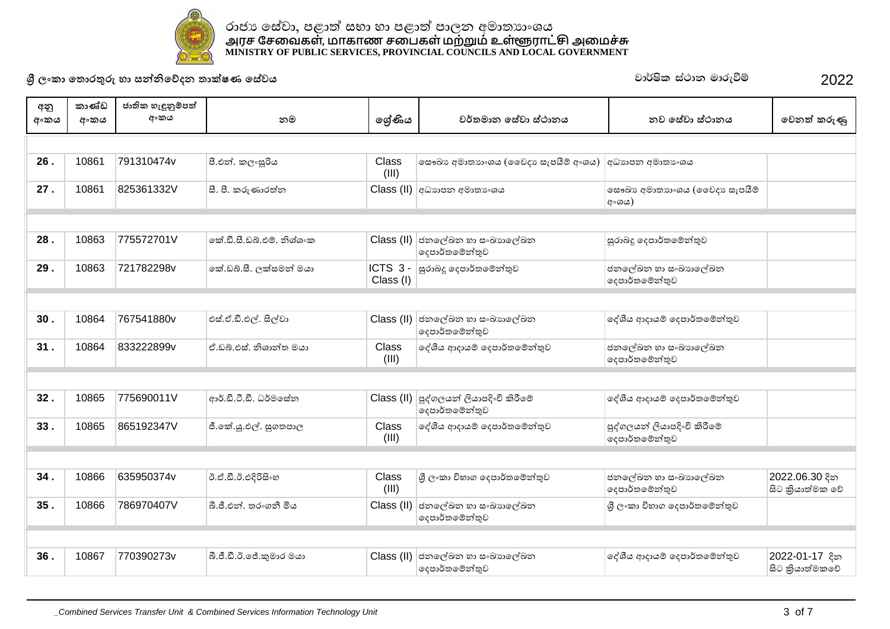

26 . | 10861 | 791310474v | 8.ಲಿಖೆ. ಏ<sub>ೀ</sub>ಷಿ3ಿಬ (III) ලසෟඛා අමාතාාංශය (ලෙවදා සැපයීම් අංශය)  $\,|$ අධාාපන අමාතාංශය **27 .** 10861 825361332V ʇșˁɞ˒˫ˡƮ˘ Class (II) ʯ˗ɕ˫˚˘ʯ˞˫˔ɕʭˤˠ ˳˦ʥ˂ɕʯ˞˫˔ɕ˫ʭˤˠ˵ˣ˖ɕ˦ˬ˚ɑȼ  $\vert$  අංශය) **28 .** 10863 775572701V ˳úƌʇːȩʻȼǧˤ˪ˤʭˁ Class (II) ˉ˘˳ɢ˂˘˧˫˦ʭ˂ɕ˫˳ɢ˂˘ ැපාර්තමෙන්තුව සුරාබදු දෙපාර්තමේන්තුව **29 . | 10863 . | 721782298v ෲ** ේබබි.සී. ලක්සමන් මයා | **ICTS 3 - | සුරාබදු ලෙපාර්තමේන්තුව** Class (I) ජනලේඛන හා සංඛාහලේඛන ේගාර්තමේන්තුව **30 .** | 10864 | 767541880v | එස්.ඒ.ඩී.එල්. සිල්වා | Class (II) | ජනලේඛන හා සංඛාගල්ඛන ෙසාර්තමේන්තුව ේශීය ආදායම් දෙපාර්තමේන්තුව **31 .** 10864 833222899v 'ːȩʻ˦˪ǧˤ˫Ǧ˔˞ˠ˫ Class (III) ˳NJɵˠʰ˖˫ˠȼ˳˖˚˫ə˔˳ȼǦƱˣ ˉ˘˳ɢ˂˘˧˫˦ʭ˂ɕ˫˳ɢ˂˘ ේගදපාර්තමේන්තුව **32 .** | 10865 | 775690011V | ආර්.ඩී.ටී.ඩී. ධර්මසේන | Class (II) පුද්ගලයන් ලියාපදිංචි කිරීමේ ැපාර්තමේන්තුව ේශීය ආදායම් දෙපාර්තමේන්තුව **33 .** 10865 865192347V ලී.කේ.ශූ.එල්. සුගතපාල Class (III) ˳NJɵˠʰ˖˫ˠȼ˳˖˚˫ə˔˳ȼǦƱˣ ȚNJ˃ˢˠǦɣˠ˫˚ǎʭĽûɝ˳ȼ ේගදපාර්තමේන්තුව **34 .** 10866 635950374v ʴ'ƌʴʻǎɜʆʭ˧ Class (III) ɼˢʭˁ˫ɪ˝˫˃˳˖˚˫ə˔˳ȼǦƱˣ ˉ˘˳ɢ˂˘˧˫˦ʭ˂ɕ˫˳ɢ˂˘ ේදෙපාර්තමේන්තුව 2022.06.30 දින සිට කියාත්මක වේ **35 . | 10866 | 786970407V | බි.ජී.එන්. තරංගනී මිය | Class (II) | ජනලේඛන හා සංඛාගල්ඛන** ැපාර්තමෙන්තුව ේශී ලංකා විහාග දෙපාර්තමේන්තුව **36 . | 10867 | 770390273v | බි.ජී.ඩී.ඊ.ජේ.කුමාර මයා | Class (II) | ජනලේඛන හා සංඛායාලේඛන** දෙපාර්තමේන්තුව  $\mid$ දේශීය ආදායම් දෙපාර්තමේන්තුව  $\mid$  2022-01-17 දින සිට කියාත්මකවේ **ɼˢʭˁ˫˳˔ʣˡƱɞ˧˫˦Ǧǧ˳ɩ˖˘˔˫ú˥˒˳˦ʢˣˠ** jd¾Isl ia:dk udreùï 2022 අනු <u>අංකය</u> කාණ්ඩ <u>අංකය</u> ජාතික හැඳුනුම්පත් **ʯʭˁˠ ˘˞ ˳ɹʢƝˠ ˣə˔˞˫˘˳˦ʢˣ˫˦˪˕˫˘ˠ ˘ˣ˳˦ʢˣ˫˦˪˕˫˘ˠ ˳ˣ˘ƮˁɞƟ**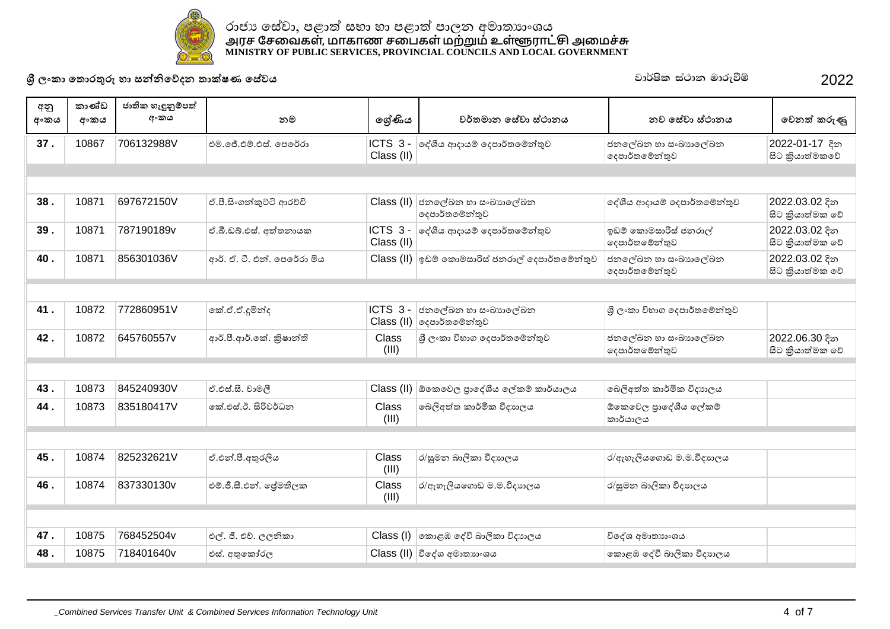

**37 .** 10867 706132988V එම. මේ.එම්.එස්. පෙරේරා Class (II) ්NGTS 3 - ලද්ශීය ආදායම් දෙපාර්තමේන්තුව යොමු ප්රාදේඛන හා සංඛාහලේඛන ේදෙපාර්තමේන්තුව 2022-01-17 දින සිට කියාත්මකවේ **38 . | 10871 |697672150V | లి.కె.జె.్టుబెన్ని జురరిల్ సంబంధం | Class (II) | తవంత్రే బాబులు జునిపులత్రే బా** ැපාර්තමෙන්තුව ේශීය ආදායම් දෙපාර්තමේන්තුව <mark>2022.03.02</mark> දින සිට කියාත්මක වේ **39 .** 10871 787190189v | ലീ. പി. ലീ. ലീ. മു. ക്രമ്പ്പെട്ടു Class (II)  $\vert$ ICTS  $\,3\,$ -  $\vert$ ේශීය ආදායම් දෙපාර්තමේන්තුව  $\vert$ ඉඩම් කොමසාරිස් ජනරාල් ඁ෧෫ඁඍ෮ඁඁ෧෧෧෨෯  $2022.03.02$  $\approx$ සිට කියාත්මක වේ **40 .** │ 10871 │856301036V │ අාර්. ඒ. ටී. එන්. පෙරේරා මිය │ Class (II) ඉඩම් කොමසාරිස් ජනරාල් සෞර්තමේන්තුව │ජනලේඛන හා සංඛාහලේඛන ෙසාර්තමේන්තුව 2022.03.02 දින සිට කියාත්මක වේ **41 .** 10872 772860951V ˳ú''ǐȽǦ˖ ICTS 3 -  $\textsf{Class}\left(\textsf{II}\right)\big|$ දෙපාර්තමේන්තුව ් ජනලේඛන හා සංඛාහලේඛන |ශූ ලංකා විභාග දෙපාර්තමේන්තුව **42 .** 10872 645760557v |ආර්.පී.ආර්.මක්. කිෂාන්ති | Class (III) |ශී ලංකා විභාග දෙපාර්තමේන්තුව | ජනලේඛන හා සංඛාහලේඛන ේගදපාර්තමේන්තුව 2022.06.30 දින සිට කියාත්මක වේ **43 . | 10873 |845240930V |** ඒ.එස්.සී. වාමලී | Class (II) |ඕකෙවෙල පාදේශීය ලේකම් කාර්යාලය |බෙලිඅත්ත කාර්මික විදාහලය **44 .** 10873 835180417V ˳úʻ˦˪ʴʆɜˣə˗˘ Class (III) ˳˜ɣʯƮ˔ˁ˫əȽˁɪ˖ɕ˫ˢˠ ʿ˳ˁ˳ˣˢȝ˫˳NJɵˠ˳ɢˁȼ කාර්යාලය **45 .** 10874 825232621V 'ʻǦșʯƱˡɣˠ Class (III) ˡʈ˞˘˜˫ɣˁ˫ɪ˖ɕ˫ˢˠ ˡʱ˧ˬɣˠ˳˃ʣː˞˞ɪ˖ɕ˫ˢˠ **46 .** 10874 837330130v ් එම.ජී.සී.එන්. පේමතිලක Class (III)  $\sigma/\sigma_i$ හැලියගොඩ ම.ම.විදාහලය පොට්ර/සුමන බාලිකා විදාහලය **47 . | 10875 | 768452504v | එල්. ජී. එච්. ලලනිකා | Class (I) කොළඹ දේවි බාලිකා විදාාලය | චිදේශ අමාතාහංශය 48 .** 10875 718401640v ʻ˦˪ʯƱ˳ˁʤˡˢ Class (II) ɪ˳NJˤʯ˞˫˔ɕ˫ʭˤˠ ˳ˁʣ˨˟˳NJɪ˜˫ɣˁ˫ɪ˖ɕ˫ˢˠ **ɼˢʭˁ˫˳˔ʣˡƱɞ˧˫˦Ǧǧ˳ɩ˖˘˔˫ú˥˒˳˦ʢˣˠ** jd¾Isl ia:dk udreùï 2022 අනු <u>අංකය</u> කාණ්ඩ <u>අංකය</u> ජාතික හැඳුනුම්පත් **ʯʭˁˠ ˘˞ ˳ɹʢƝˠ ˣə˔˞˫˘˳˦ʢˣ˫˦˪˕˫˘ˠ ˘ˣ˳˦ʢˣ˫˦˪˕˫˘ˠ ˳ˣ˘ƮˁɞƟ**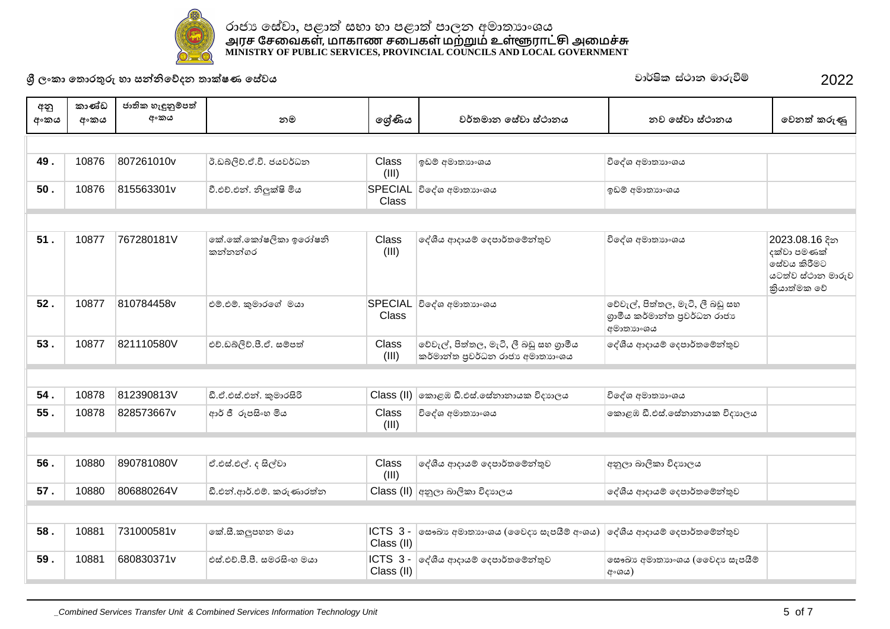

**49 . | 10876 807261010v |** ರೈ.ವಿನ್ನಿನಿ.ಲೈ.ಶೈ. ಆಡಲಿಕೆಯಿಂ (III) ʳːȼʯ˞˫˔ɕ˫ʭˤˠ ɪ˳NJˤʯ˞˫˔ɕ˫ʭˤˠ **50 .** 10876 815563301v |වී.එච්.එන්. නිලක්ෂි මිය **Class** ɪ˳NJˤʯ˞˫˔ɕ˫ʭˤˠ ʳːȼʯ˞˫˔ɕ˫ʭˤˠ  $51$  .  $\vert$  10877 | 767280181V | ෛ්.කේ.කෝෂලිකා ඉරෝෂනි කත්තත්ගර Class (III) ˳NJɵˠʰ˖˫ˠȼ˳˖˚˫ə˔˳ȼǦƱˣ ɪ˳NJˤʯ˞˫˔ɕ˫ʭˤˠ 2023.08.16ǎ˘ දක්වා පමණක්  $^{\circ}$ ිස්වය කිරීමට යටත්ව ස්ථාන මාරුව කියාත්මක වේ **52 .** 10877 810784458v *එම.එම. කුමාරගේ මයා* SPECIAL විදේශ අමාතාභංශය Class වේවැල්, පිත්තල, මැටී, ලී බඩු සහ ශාමීය කර්මාන්ත පුවර්ධන රාජා ∣ අමාතාහංශය **53 .** 10877 821110580V එච.ඩබලිවි.පී.ඒ. සම්පත් Class (III) වේවැල්, පිත්තල, මැටි, ලී බඩු සහ ගාමීය කර්මාන්ත පුවර්ධන රාජා අමාතාාංශය ේශීය ආදායම් දෙපාර්තමේන්තුව **54 .** 10878 812390813V බී.ඒ.එස්.එන්. කමාරසිරි Class (II) කොළඹ ඩී.එස්.සේනානායක විදහාලය විදේශ අමාතහංශය **55 .** 10878 828573667∨ ఇుర కి ఈజ&ు తిల (III) ɪ˳NJˤʯ˞˫˔ɕ˫ʭˤˠ ˳ˁʣ˨˟ƌʻ˦˪˳˦ʢ˘˫˘˫ˠˁɪ˖ɕ˫ˢˠ **56 .** 10880 890781080V 'ʻ˦˪ʻɢ˖ʆɢˣ˫ Class (III) ේශීය ආදායම් දෙපාර්තමේන්තුව අනුලා බාලිකා විදාහලය  $\,$  **57 .**  $\,$  10880  $\,$  806880264V  $\,$  ඩී.එන්.ආර්.එම්. කරුණාරත්න Class (II) අනුලා බාලිකා විදහාලය | ලේශීය ආදායම් දෙපාර්තමේන්තුව **58 .** 10881 731000581v |කේ.සී.කලූපහන මයා Class (II) ු ICTS - මසෟඛා අමාතාහංශය (වෛදා සැපයීම් අංශය) | දේශීය ආදායම් දෙපාර්තමේන්තුව **59 .** | 10881 | 680830371v | එස්.එච්.පී.පී. සමරසිංහ මයා | ICTS 3 - | ලේශීය ආදායම් දෙපාර්තමේන්තුව Class (II) ෙසබො අමාතාහංශය (වෛදා සැපයීම ¦്രദേശ) **ɼˢʭˁ˫˳˔ʣˡƱɞ˧˫˦Ǧǧ˳ɩ˖˘˔˫ú˥˒˳˦ʢˣˠ** jd¾Isl ia:dk udreùï 2022 අනු අංකය කාණ්ඩ <u>අංකය</u> ජාතික හැඳුනුම්පත් **ʯʭˁˠ ˘˞ ˳ɹʢƝˠ ˣə˔˞˫˘˳˦ʢˣ˫˦˪˕˫˘ˠ ˘ˣ˳˦ʢˣ˫˦˪˕˫˘ˠ ˳ˣ˘ƮˁɞƟ**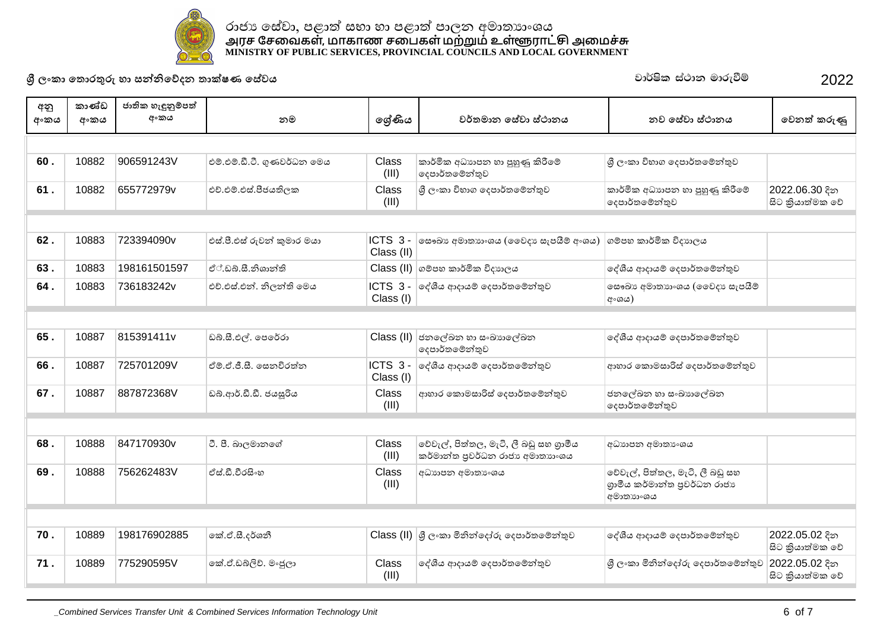

## රාජා සේවා, පළාත් සභා හා පළාත් පාලන අමාතාාංශය <u>அ</u>ரச சேவைகள், மாகாண சபைகள் மற்றும் உள்ளூராட்சு அமைச்சு **MINISTRY OF PUBLIC SERVICES, PROVINCIAL COUNCILS AND LOCAL GOVERNMENT**

**ɼˢʭˁ˫˳˔ʣˡƱɞ˧˫˦Ǧǧ˳ɩ˖˘˔˫ú˥˒˳˦ʢˣˠ** jd¾Isl ia:dk udreùï 2022

| අනු  | කාණ්ඩ | ජාතික හැඳුනුම්පත් |                             |                       |                                                                           |                                                                               |                                   |  |  |  |  |  |
|------|-------|-------------------|-----------------------------|-----------------------|---------------------------------------------------------------------------|-------------------------------------------------------------------------------|-----------------------------------|--|--|--|--|--|
| අංකය | අංකය  | අංකය              | නම                          | ලශ්ණිය                | වර්තමාන සේවා ස්ථානය                                                       | නව සේවා ස්ථානය                                                                | වෙනත් කරුණු                       |  |  |  |  |  |
|      |       |                   |                             |                       |                                                                           |                                                                               |                                   |  |  |  |  |  |
| 60.  | 10882 | 906591243V        | එම්.එම්.ඩී.ටී. ගුණවර්ධන මෙය | Class<br>(III)        | කාර්මික අධාහපන හා පුහුණු කිරීමේ<br>දෙපාර්තමේන්තුව                         | ශී ලංකා විහාග දෙපාර්තමේන්තුව                                                  |                                   |  |  |  |  |  |
| 61.  | 10882 | 655772979v        | එච්.එම්.එස්.පීජයතිලක        | Class<br>(III)        | ශී ලංකා විහාග දෙපාර්තමේන්තුව                                              | කාර්මික අධාහපන හා පුහුණු කිරීමේ<br>දෙපාර්තමේන්තුව                             | 2022.06.30 දින<br>සිට කියාත්මක වේ |  |  |  |  |  |
|      |       |                   |                             |                       |                                                                           |                                                                               |                                   |  |  |  |  |  |
| 62.  | 10883 | 723394090v        | එස්.පී.එස් රුවන් කුමාර මයා  | ICTS 3-<br>Class (II) | <b>ංසෟඛා අමාතාහංශය (මෛදා සැපයීම් අංශය)</b>                                | ගම්පහ කාර්මික විදාහලය                                                         |                                   |  |  |  |  |  |
| 63.  | 10883 | 198161501597      | ඒ්.ඩබ්.සී.නිශාන්ති          |                       | $\textsf{Class}\left(\textsf{II}\right)\big $ ගම්පහ කාර්මික විදාහලය       | දේශීය ආදායම් දෙපාර්තමේන්තුව                                                   |                                   |  |  |  |  |  |
| 64.  | 10883 | 736183242v        | එච්.එස්.එන්. නිලන්ති මෙය    | ICTS 3-<br>Class (I)  | ලද්ශීය ආදායම් දෙපාර්තමේන්තුව                                              | ලසෟඛා අමාතාහංශය (ඉවෙදා සැපයීම්<br>අ∘ශය)                                       |                                   |  |  |  |  |  |
|      |       |                   |                             |                       |                                                                           |                                                                               |                                   |  |  |  |  |  |
| 65.  | 10887 | 815391411v        | ඩබ්.සී.එල්. පෙරේරා          | Class (II)            | ජනලේඛන හා සංඛාහලේඛන<br>දෙපාර්තමේන්තුව                                     | දේශීය ආදායම් දෙපාර්තමේන්තුව                                                   |                                   |  |  |  |  |  |
| 66.  | 10887 | 725701209V        | ඒම්.ඒ.ජී.සී. සෙනවිරත්ත      | ICTS 3-<br>Class (I)  | දේශීය ආදායම් දෙපාර්තමේන්තුව                                               | ආහාර කොමසාරිස් දෙපාර්තමේන්තුව                                                 |                                   |  |  |  |  |  |
| 67.  | 10887 | 887872368V        | ඩබ්.ආර්.ඩී.ඩී. ජයසූරිය      | <b>Class</b><br>(III) | ආහාර කොමසාරිස් දෙපාර්තමේන්තුව                                             | ජනලේඛන හා සංඛාහලේඛන<br>දෙපාර්තමේන්තුව                                         |                                   |  |  |  |  |  |
|      |       |                   |                             |                       |                                                                           |                                                                               |                                   |  |  |  |  |  |
| 68.  | 10888 | 847170930v        | ටී. පී. බාලමානගේ            | Class<br>(III)        | වේවැල්, පිත්තල, මැටි, ලී බඩු සහ ගුාමීය<br>කර්මාන්ත පුවර්ධන රාජා අමාතාහංශය | අධාහපන අමාතා ශය                                                               |                                   |  |  |  |  |  |
| 69.  | 10888 | 756262483V        | ඒස් ඩී වීරසිංහ              | Class<br>(III)        | අධාහපන අමාතා ශය                                                           | වේවැල්, පිත්තල, මැටි, ලී බඩු සහ<br>ගුාමීය කර්මාන්ත පුවර්ධන රාජාා<br>අමාතාහංශය |                                   |  |  |  |  |  |
|      |       |                   |                             |                       |                                                                           |                                                                               |                                   |  |  |  |  |  |
| 70.  | 10889 | 198176902885      | කේ.ඒ.සී.දර්ශනී              |                       | Class (II) ශූී ලංකා මිනින්දෝරු දෙපාර්තමේන්තුව                             | දේශීය ආදායම් දෙපාර්තමේන්තුව                                                   | 2022.05.02 දින<br>සිට කියාත්මක වේ |  |  |  |  |  |
| 71.  | 10889 | 775290595V        | කේ.ඒ.ඩබ්ලිව්, මංජූලා        | Class<br>(III)        | දේශීය ආදායම් දෙපාර්තමේන්තුව                                               | ශී ලංකා මිනින්දෝරු දෙපාර්තමේන්තුව                                             | 2022.05.02 දින<br>සිට කියාත්මක වේ |  |  |  |  |  |